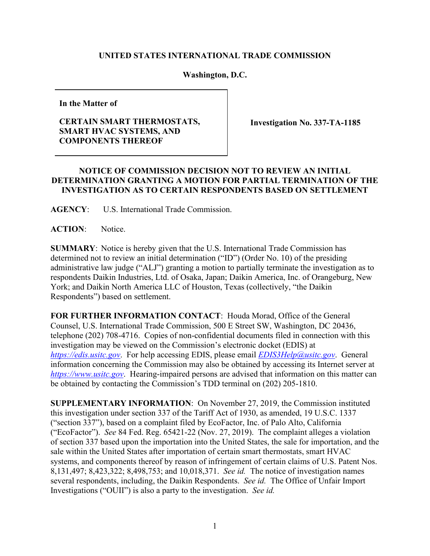## **UNITED STATES INTERNATIONAL TRADE COMMISSION**

## **Washington, D.C.**

**In the Matter of**

## **CERTAIN SMART THERMOSTATS, SMART HVAC SYSTEMS, AND COMPONENTS THEREOF**

**Investigation No. 337-TA-1185**

## **NOTICE OF COMMISSION DECISION NOT TO REVIEW AN INITIAL DETERMINATION GRANTING A MOTION FOR PARTIAL TERMINATION OF THE INVESTIGATION AS TO CERTAIN RESPONDENTS BASED ON SETTLEMENT**

**AGENCY**: U.S. International Trade Commission.

**ACTION**: Notice.

**SUMMARY**: Notice is hereby given that the U.S. International Trade Commission has determined not to review an initial determination ("ID") (Order No. 10) of the presiding administrative law judge ("ALJ") granting a motion to partially terminate the investigation as to respondents Daikin Industries, Ltd. of Osaka, Japan; Daikin America, Inc. of Orangeburg, New York; and Daikin North America LLC of Houston, Texas (collectively, "the Daikin Respondents") based on settlement.

**FOR FURTHER INFORMATION CONTACT**: Houda Morad, Office of the General Counsel, U.S. International Trade Commission, 500 E Street SW, Washington, DC 20436, telephone (202) 708-4716. Copies of non-confidential documents filed in connection with this investigation may be viewed on the Commission's electronic docket (EDIS) at *[https://edis.usitc.gov](https://edis.usitc.gov/)*. For help accessing EDIS, please email *[EDIS3Help@usitc.gov](mailto:EDIS3Help@usitc.gov)*. General information concerning the Commission may also be obtained by accessing its Internet server at *[https://www.usitc.gov](https://www.usitc.gov/)*. Hearing-impaired persons are advised that information on this matter can be obtained by contacting the Commission's TDD terminal on (202) 205-1810.

**SUPPLEMENTARY INFORMATION**: On November 27, 2019, the Commission instituted this investigation under section 337 of the Tariff Act of 1930, as amended, 19 U.S.C. 1337 ("section 337"), based on a complaint filed by EcoFactor, Inc. of Palo Alto, California ("EcoFactor"). *See* 84 Fed. Reg. 65421-22 (Nov. 27, 2019). The complaint alleges a violation of section 337 based upon the importation into the United States, the sale for importation, and the sale within the United States after importation of certain smart thermostats, smart HVAC systems, and components thereof by reason of infringement of certain claims of U.S. Patent Nos. 8,131,497; 8,423,322; 8,498,753; and 10,018,371. *See id.* The notice of investigation names several respondents, including, the Daikin Respondents. *See id.* The Office of Unfair Import Investigations ("OUII") is also a party to the investigation. *See id.*